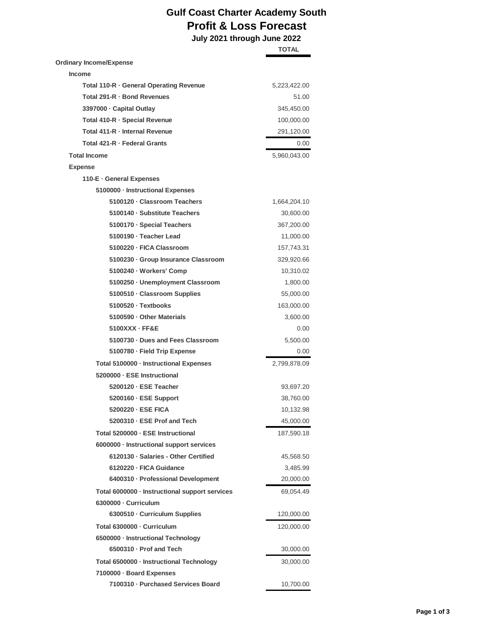## **Gulf Coast Charter Academy South Profit & Loss Forecast**

 **July 2021 through June 2022**

|                                                | <b>TOTAL</b> |
|------------------------------------------------|--------------|
| Ordinary Income/Expense                        |              |
| <b>Income</b>                                  |              |
| Total 110-R · General Operating Revenue        | 5,223,422.00 |
| Total 291-R · Bond Revenues                    | 51.00        |
| 3397000 · Capital Outlay                       | 345,450.00   |
| Total 410-R · Special Revenue                  | 100,000.00   |
| Total 411-R - Internal Revenue                 | 291,120.00   |
| Total 421-R · Federal Grants                   | 0.00         |
| <b>Total Income</b>                            | 5,960,043.00 |
| <b>Expense</b>                                 |              |
| 110-E - General Expenses                       |              |
| 5100000 · Instructional Expenses               |              |
| 5100120 · Classroom Teachers                   | 1,664,204.10 |
| 5100140 · Substitute Teachers                  | 30,600.00    |
| 5100170 · Special Teachers                     | 367,200.00   |
| 5100190 · Teacher Lead                         | 11,000.00    |
| 5100220 · FICA Classroom                       | 157,743.31   |
| 5100230 Group Insurance Classroom              | 329,920.66   |
| 5100240 · Workers' Comp                        | 10,310.02    |
| 5100250 · Unemployment Classroom               | 1,800.00     |
| 5100510 · Classroom Supplies                   | 55,000.00    |
| 5100520 · Textbooks                            | 163,000.00   |
| 5100590 · Other Materials                      | 3,600.00     |
| $5100XXX - FFEE$                               | 0.00         |
| 5100730 · Dues and Fees Classroom              | 5,500.00     |
| 5100780 · Field Trip Expense                   | 0.00         |
| Total 5100000 · Instructional Expenses         | 2,799,878.09 |
| 5200000 - ESE Instructional                    |              |
| 5200120 · ESE Teacher                          |              |
| 5200160 - ESE Support                          | 93,697.20    |
| 5200220 - ESE FICA                             | 38,760.00    |
| 5200310 · ESE Prof and Tech                    | 10,132.98    |
|                                                | 45,000.00    |
| Total 5200000 · ESE Instructional              | 187,590.18   |
| 6000000 · Instructional support services       |              |
| 6120130 · Salaries - Other Certified           | 45,568.50    |
| 6120220 - FICA Guidance                        | 3,485.99     |
| 6400310 · Professional Development             | 20,000.00    |
| Total 6000000 · Instructional support services | 69,054.49    |
| 6300000 - Curriculum                           |              |
| 6300510 · Curriculum Supplies                  | 120,000.00   |
| Total 6300000 - Curriculum                     | 120,000.00   |
| 6500000 · Instructional Technology             |              |
| 6500310 · Prof and Tech                        | 30,000.00    |
| Total 6500000 · Instructional Technology       | 30,000.00    |
| 7100000 · Board Expenses                       |              |
| 7100310 · Purchased Services Board             | 10,700.00    |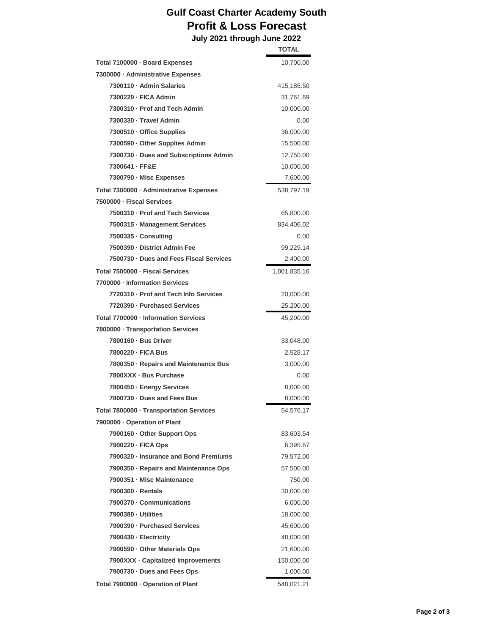## **Gulf Coast Charter Academy South Profit & Loss Forecast**

 **July 2021 through June 2022 TOTAL**

| Total 7100000 - Board Expenses<br>7300000 · Administrative Expenses | 10,700.00    |
|---------------------------------------------------------------------|--------------|
| 7300110 · Admin Salaries                                            | 415,185.50   |
| 7300220 - FICA Admin                                                | 31,761.69    |
| 7300310 · Prof and Tech Admin                                       | 10,000.00    |
| 7300330 · Travel Admin                                              | 0.00         |
| 7300510 · Office Supplies                                           | 36,000.00    |
| 7300590 · Other Supplies Admin                                      | 15,500.00    |
| 7300730 · Dues and Subscriptions Admin                              | 12,750.00    |
| 7300641 - FF&E                                                      | 10,000.00    |
| 7300790 - Misc Expenses                                             | 7,600.00     |
| Total 7300000 - Administrative Expenses                             | 538,797.19   |
| 7500000 · Fiscal Services                                           |              |
| 7500310 · Prof and Tech Services                                    | 65,800.00    |
| 7500315 · Management Services                                       | 834,406.02   |
| 7500335 · Consulting                                                | 0.00         |
| 7500390 · District Admin Fee                                        | 99,229.14    |
| 7500730 · Dues and Fees Fiscal Services                             | 2,400.00     |
| Total 7500000 - Fiscal Services                                     | 1,001,835.16 |
| 7700000 · Information Services                                      |              |
| 7720310 - Prof and Tech Info Services                               | 20,000.00    |
| 7720390 - Purchased Services                                        | 25,200.00    |
| Total 7700000 - Information Services                                | 45,200.00    |
| 7800000 · Transportation Services                                   |              |
| 7800160 - Bus Driver                                                | 33,048.00    |
| 7800220 - FICA Bus                                                  | 2,528.17     |
| 7800350 · Repairs and Maintenance Bus                               | 3,000.00     |
| 7800XXX · Bus Purchase                                              | 0.00         |
| 7800450 · Energy Services                                           | 8,000.00     |
| 7800730 · Dues and Fees Bus                                         | 8,000.00     |
| Total 7800000 · Transportation Services                             | 54,576.17    |
| 7900000 · Operation of Plant                                        |              |
| 7900160 · Other Support Ops                                         | 83,603.54    |
| 7900220 · FICA Ops                                                  | 6,395.67     |
| 7900320 · Insurance and Bond Premiums                               | 79,572.00    |
| 7900350 · Repairs and Maintenance Ops                               | 57,500.00    |
| 7900351 - Misc Maintenance                                          | 750.00       |
| 7900360 - Rentals                                                   | 30,000.00    |
| 7900370 · Communications                                            | 6,000.00     |
| 7900380 - Utilities                                                 | 18,000.00    |
| 7900390 - Purchased Services                                        | 45,600.00    |
| 7900430 - Electricity                                               | 48,000.00    |
| 7900590 · Other Materials Ops                                       | 21,600.00    |
| 7900XXX · Capitalized Improvements                                  | 150,000.00   |
| 7900730 · Dues and Fees Ops                                         | 1,000.00     |
| Total 7900000 · Operation of Plant                                  | 548,021.21   |